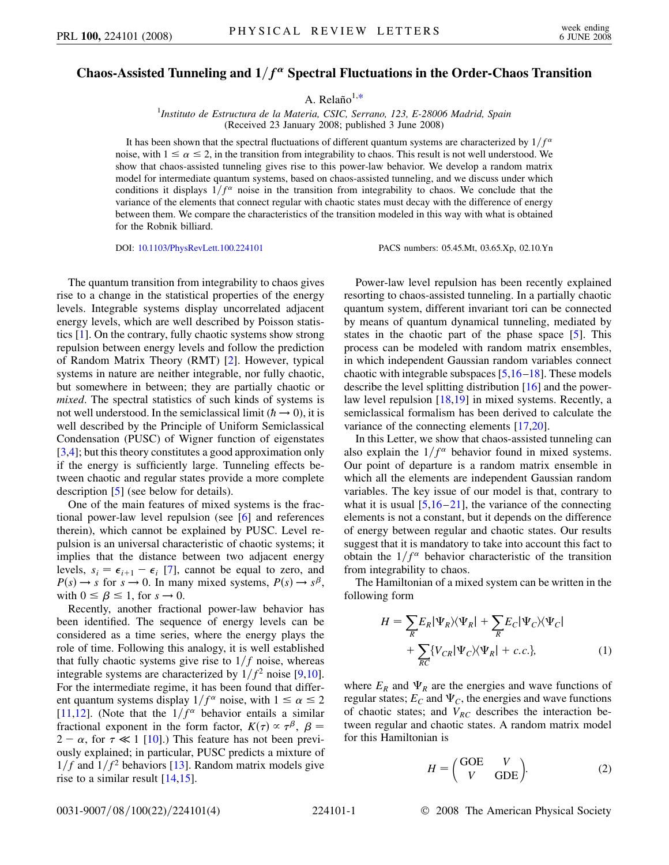## <span id="page-0-0"></span>**Chaos-Assisted Tunneling and**  $1/f^{\alpha}$  Spectral Fluctuations in the Order-Chaos Transition

A. Relaño $1,*$  $1,*$ 

1 *Instituto de Estructura de la Materia, CSIC, Serrano, 123, E-28006 Madrid, Spain* (Received 23 January 2008; published 3 June 2008)

It has been shown that the spectral fluctuations of different quantum systems are characterized by  $1/f^{\alpha}$ noise, with  $1 \le \alpha \le 2$ , in the transition from integrability to chaos. This result is not well understood. We show that chaos-assisted tunneling gives rise to this power-law behavior. We develop a random matrix model for intermediate quantum systems, based on chaos-assisted tunneling, and we discuss under which conditions it displays  $1/f^{\alpha}$  noise in the transition from integrability to chaos. We conclude that the variance of the elements that connect regular with chaotic states must decay with the difference of energy between them. We compare the characteristics of the transition modeled in this way with what is obtained for the Robnik billiard.

DOI: [10.1103/PhysRevLett.100.224101](http://dx.doi.org/10.1103/PhysRevLett.100.224101) PACS numbers: 05.45.Mt, 03.65.Xp, 02.10.Yn

The quantum transition from integrability to chaos gives rise to a change in the statistical properties of the energy levels. Integrable systems display uncorrelated adjacent energy levels, which are well described by Poisson statistics [\[1\]](#page-3-1). On the contrary, fully chaotic systems show strong repulsion between energy levels and follow the prediction of Random Matrix Theory (RMT) [[2\]](#page-3-2). However, typical systems in nature are neither integrable, nor fully chaotic, but somewhere in between; they are partially chaotic or *mixed*. The spectral statistics of such kinds of systems is not well understood. In the semiclassical limit ( $\hbar \rightarrow 0$ ), it is well described by the Principle of Uniform Semiclassical Condensation (PUSC) of Wigner function of eigenstates [\[3,](#page-3-3)[4](#page-3-4)]; but this theory constitutes a good approximation only if the energy is sufficiently large. Tunneling effects between chaotic and regular states provide a more complete description [\[5](#page-3-5)] (see below for details).

One of the main features of mixed systems is the fractional power-law level repulsion (see [\[6\]](#page-3-6) and references therein), which cannot be explained by PUSC. Level repulsion is an universal characteristic of chaotic systems; it implies that the distance between two adjacent energy levels,  $s_i = \epsilon_{i+1} - \epsilon_i$  [\[7](#page-3-7)], cannot be equal to zero, and  $P(s) \rightarrow s$  for  $s \rightarrow 0$ . In many mixed systems,  $P(s) \rightarrow s^{\beta}$ , with  $0 \leq \beta \leq 1$ , for  $s \to 0$ .

Recently, another fractional power-law behavior has been identified. The sequence of energy levels can be considered as a time series, where the energy plays the role of time. Following this analogy, it is well established that fully chaotic systems give rise to  $1/f$  noise, whereas integrable systems are characterized by  $1/f^2$  noise [[9,](#page-3-8)[10\]](#page-3-9). For the intermediate regime, it has been found that different quantum systems display  $1/f^{\alpha}$  noise, with  $1 \le \alpha \le 2$ [\[11](#page-3-10)[,12\]](#page-3-11). (Note that the  $1/f^{\alpha}$  behavior entails a similar fractional exponent in the form factor,  $K(\tau) \propto \tau^{\beta}$ ,  $\beta =$  $2 - \alpha$ , for  $\tau \ll 1$  [[10](#page-3-9)].) This feature has not been previously explained; in particular, PUSC predicts a mixture of  $1/f$  and  $1/f<sup>2</sup>$  behaviors [[13](#page-3-12)]. Random matrix models give rise to a similar result  $[14,15]$  $[14,15]$ .

Power-law level repulsion has been recently explained resorting to chaos-assisted tunneling. In a partially chaotic quantum system, different invariant tori can be connected by means of quantum dynamical tunneling, mediated by states in the chaotic part of the phase space [[5](#page-3-5)]. This process can be modeled with random matrix ensembles, in which independent Gaussian random variables connect chaotic with integrable subspaces [\[5,](#page-3-5)[16](#page-3-15)[–18](#page-3-16)]. These models describe the level splitting distribution [\[16\]](#page-3-15) and the powerlaw level repulsion [[18,](#page-3-16)[19](#page-3-17)] in mixed systems. Recently, a semiclassical formalism has been derived to calculate the variance of the connecting elements [[17](#page-3-18),[20](#page-3-19)].

In this Letter, we show that chaos-assisted tunneling can also explain the  $1/f^{\alpha}$  behavior found in mixed systems. Our point of departure is a random matrix ensemble in which all the elements are independent Gaussian random variables. The key issue of our model is that, contrary to what it is usual  $[5,16-21]$  $[5,16-21]$  $[5,16-21]$ , the variance of the connecting elements is not a constant, but it depends on the difference of energy between regular and chaotic states. Our results suggest that it is mandatory to take into account this fact to obtain the  $1/f^{\alpha}$  behavior characteristic of the transition from integrability to chaos.

The Hamiltonian of a mixed system can be written in the following form

$$
H = \sum_{R} E_{R} |\Psi_{R}\rangle\langle\Psi_{R}| + \sum_{R} E_{C} |\Psi_{C}\rangle\langle\Psi_{C}|
$$
  
+ 
$$
\sum_{R\overline{C}} \{V_{CR} |\Psi_{C}\rangle\langle\Psi_{R}| + c.c.\},
$$
 (1)

where  $E_R$  and  $\Psi_R$  are the energies and wave functions of regular states;  $E_C$  and  $\Psi_C$ , the energies and wave functions of chaotic states; and  $V_{RC}$  describes the interaction between regular and chaotic states. A random matrix model for this Hamiltonian is

$$
H = \begin{pmatrix} \text{GOE} & V \\ V & \text{GDE} \end{pmatrix}.
$$
 (2)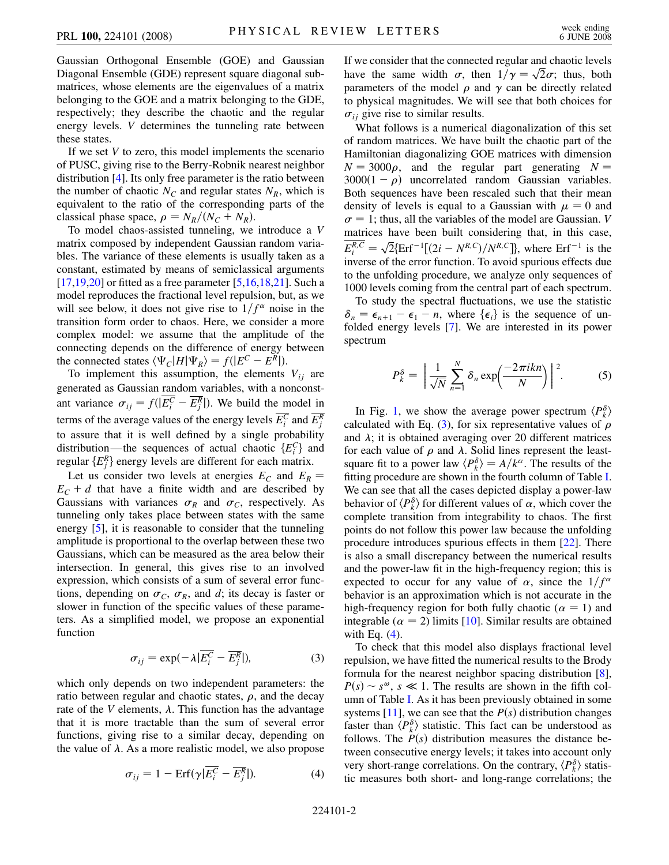Gaussian Orthogonal Ensemble (GOE) and Gaussian Diagonal Ensemble (GDE) represent square diagonal submatrices, whose elements are the eigenvalues of a matrix belonging to the GOE and a matrix belonging to the GDE, respectively; they describe the chaotic and the regular energy levels. *V* determines the tunneling rate between these states.

If we set *V* to zero, this model implements the scenario of PUSC, giving rise to the Berry-Robnik nearest neighbor distribution [[4](#page-3-4)]. Its only free parameter is the ratio between the number of chaotic  $N_c$  and regular states  $N_R$ , which is equivalent to the ratio of the corresponding parts of the classical phase space,  $\rho = N_R/(N_C + N_R)$ .

To model chaos-assisted tunneling, we introduce a *V* matrix composed by independent Gaussian random variables. The variance of these elements is usually taken as a constant, estimated by means of semiclassical arguments  $[17,19,20]$  $[17,19,20]$  $[17,19,20]$  $[17,19,20]$  or fitted as a free parameter  $[5,16,18,21]$  $[5,16,18,21]$  $[5,16,18,21]$  $[5,16,18,21]$  $[5,16,18,21]$ . Such a model reproduces the fractional level repulsion, but, as we will see below, it does not give rise to  $1/f^{\alpha}$  noise in the transition form order to chaos. Here, we consider a more complex model: we assume that the amplitude of the connecting depends on the difference of energy between the connected states  $\langle \Psi_C | H | \Psi_R \rangle = f(|E^C - E^R|).$ 

To implement this assumption, the elements  $V_{ij}$  are generated as Gaussian random variables, with a nonconstant variance  $\sigma_{ij} = f(|E_i^C - E_j^R|)$ . We build the model in terms of the average values of the energy levels  $E_i^C$  and  $E_j^R$ to assure that it is well defined by a single probability distribution—the sequences of actual chaotic  ${E<sub>i</sub><sup>C</sup>}$  and regular  $\{E_j^R\}$  energy levels are different for each matrix.

Let us consider two levels at energies  $E_C$  and  $E_R$  =  $E_C + d$  that have a finite width and are described by Gaussians with variances  $\sigma_R$  and  $\sigma_C$ , respectively. As tunneling only takes place between states with the same energy [\[5\]](#page-3-5), it is reasonable to consider that the tunneling amplitude is proportional to the overlap between these two Gaussians, which can be measured as the area below their intersection. In general, this gives rise to an involved expression, which consists of a sum of several error functions, depending on  $\sigma_C$ ,  $\sigma_R$ , and *d*; its decay is faster or slower in function of the specific values of these parameters. As a simplified model, we propose an exponential function

$$
\sigma_{ij} = \exp(-\lambda |\overline{E_i^C} - \overline{E_j^R}|), \tag{3}
$$

<span id="page-1-1"></span><span id="page-1-0"></span>which only depends on two independent parameters: the ratio between regular and chaotic states,  $\rho$ , and the decay rate of the *V* elements,  $\lambda$ . This function has the advantage that it is more tractable than the sum of several error functions, giving rise to a similar decay, depending on the value of  $\lambda$ . As a more realistic model, we also propose

$$
\sigma_{ij} = 1 - \text{Erf}(\gamma | \overline{E_i^C} - \overline{E_j^R}|). \tag{4}
$$

If we consider that the connected regular and chaotic levels If we consider that the connected regular and chaotic levels<br>have the same width  $\sigma$ , then  $1/\gamma = \sqrt{2}\sigma$ ; thus, both parameters of the model  $\rho$  and  $\gamma$  can be directly related to physical magnitudes. We will see that both choices for  $\sigma_{ij}$  give rise to similar results.

What follows is a numerical diagonalization of this set of random matrices. We have built the chaotic part of the Hamiltonian diagonalizing GOE matrices with dimension  $N = 3000\rho$ , and the regular part generating  $N =$  $3000(1 - \rho)$  uncorrelated random Gaussian variables. Both sequences have been rescaled such that their mean density of levels is equal to a Gaussian with  $\mu = 0$  and  $\sigma = 1$ ; thus, all the variables of the model are Gaussian. *V* matrices have been built considering that, in this case,  $E_i^{R,C} = \sqrt{2} \{ \text{Erf}^{-1} [(2i - N^{R,C})/N^{R,C} ] \}$ , where  $\text{Erf}^{-1}$  is the inverse of the error function. To avoid spurious effects due to the unfolding procedure, we analyze only sequences of 1000 levels coming from the central part of each spectrum.

To study the spectral fluctuations, we use the statistic  $\delta_n = \epsilon_{n+1} - \epsilon_1 - n$ , where  $\{\epsilon_i\}$  is the sequence of unfolded energy levels [[7](#page-3-7)]. We are interested in its power spectrum

$$
P_k^{\delta} = \left| \frac{1}{\sqrt{N}} \sum_{n=1}^{N} \delta_n \exp\left(\frac{-2\pi i k n}{N}\right) \right|^2.
$$
 (5)

In Fig. [1,](#page-2-0) we show the average power spectrum  $\langle P_k^{\delta} \rangle$ calculated with Eq. [\(3](#page-1-0)), for six representative values of  $\rho$ and  $\lambda$ ; it is obtained averaging over 20 different matrices for each value of  $\rho$  and  $\lambda$ . Solid lines represent the leastsquare fit to a power law  $\langle P_k^{\delta} \rangle = A/k^{\alpha}$ . The results of the fitting procedure are shown in the fourth column of Table [I](#page-2-1). We can see that all the cases depicted display a power-law behavior of  $\langle P_k^{\delta} \rangle$  for different values of  $\alpha$ , which cover the complete transition from integrability to chaos. The first points do not follow this power law because the unfolding procedure introduces spurious effects in them [[22](#page-3-21)]. There is also a small discrepancy between the numerical results and the power-law fit in the high-frequency region; this is expected to occur for any value of  $\alpha$ , since the  $1/f^{\alpha}$ behavior is an approximation which is not accurate in the high-frequency region for both fully chaotic ( $\alpha = 1$ ) and integrable ( $\alpha = 2$ ) limits [[10](#page-3-9)]. Similar results are obtained with Eq.  $(4)$ .

To check that this model also displays fractional level repulsion, we have fitted the numerical results to the Brody formula for the nearest neighbor spacing distribution [[8\]](#page-3-22),  $P(s) \sim s^{\omega}$ ,  $s \ll 1$ . The results are shown in the fifth column of Table [I](#page-2-1). As it has been previously obtained in some systems  $[11]$ , we can see that the  $P(s)$  distribution changes faster than  $\langle P_k^{\delta} \rangle$  statistic. This fact can be understood as follows. The  $P(s)$  distribution measures the distance between consecutive energy levels; it takes into account only very short-range correlations. On the contrary,  $\langle P_k^{\delta} \rangle$  statistic measures both short- and long-range correlations; the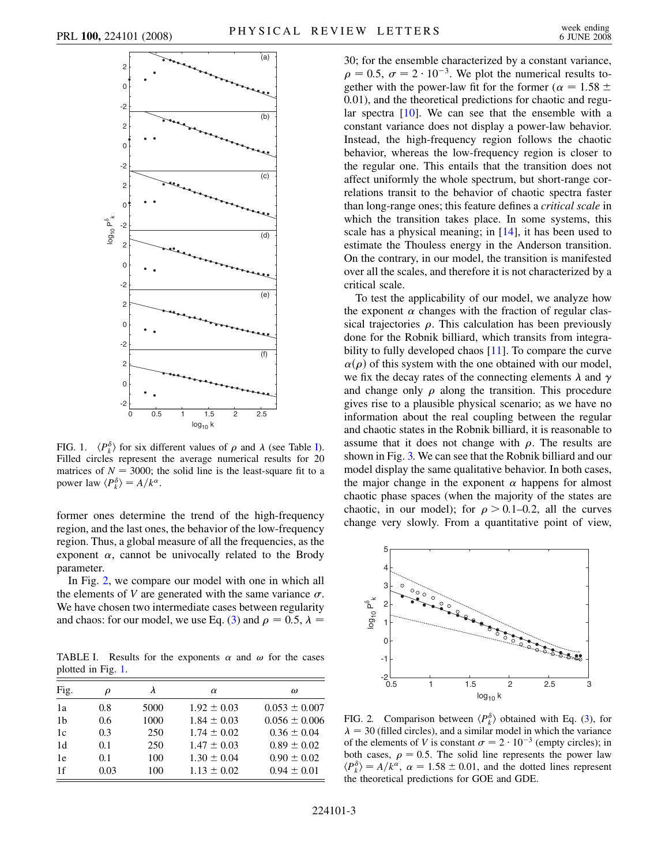<span id="page-2-0"></span>

FIG. 1.  $\langle P_k^{\delta} \rangle$  for six different values of  $\rho$  and  $\lambda$  (see Table [I\)](#page-2-1). Filled circles represent the average numerical results for 20 matrices of  $N = 3000$ ; the solid line is the least-square fit to a power law  $\langle P_k^{\delta} \rangle = A/k^{\alpha}$ .

former ones determine the trend of the high-frequency region, and the last ones, the behavior of the low-frequency region. Thus, a global measure of all the frequencies, as the exponent  $\alpha$ , cannot be univocally related to the Brody parameter.

In Fig. [2](#page-2-2), we compare our model with one in which all the elements of *V* are generated with the same variance  $\sigma$ . We have chosen two intermediate cases between regularity and chaos: for our model, we use Eq. ([3\)](#page-1-0) and  $\rho = 0.5$ ,  $\lambda =$ 

<span id="page-2-1"></span>TABLE I. Results for the exponents  $\alpha$  and  $\omega$  for the cases plotted in Fig. [1.](#page-2-0)

| Fig.           | $\rho$ |      | $\alpha$        | $\omega$          |
|----------------|--------|------|-----------------|-------------------|
| 1a             | 0.8    | 5000 | $1.92 \pm 0.03$ | $0.053 \pm 0.007$ |
| 1 <sub>b</sub> | 0.6    | 1000 | $1.84 \pm 0.03$ | $0.056 \pm 0.006$ |
| 1c             | 0.3    | 250  | $1.74 \pm 0.02$ | $0.36 \pm 0.04$   |
| 1d             | 0.1    | 250  | $1.47 \pm 0.03$ | $0.89 \pm 0.02$   |
| 1e             | 0.1    | 100  | $1.30 \pm 0.04$ | $0.90 \pm 0.02$   |
| 1f             | 0.03   | 100  | $1.13 \pm 0.02$ | $0.94 \pm 0.01$   |

30; for the ensemble characterized by a constant variance,  $\rho = 0.5$ ,  $\sigma = 2 \cdot 10^{-3}$ . We plot the numerical results together with the power-law fit for the former ( $\alpha = 1.58 \pm 1.58$ 0*:*01), and the theoretical predictions for chaotic and regular spectra  $[10]$ . We can see that the ensemble with a constant variance does not display a power-law behavior. Instead, the high-frequency region follows the chaotic behavior, whereas the low-frequency region is closer to the regular one. This entails that the transition does not affect uniformly the whole spectrum, but short-range correlations transit to the behavior of chaotic spectra faster than long-range ones; this feature defines a *critical scale* in which the transition takes place. In some systems, this scale has a physical meaning; in [\[14](#page-3-13)], it has been used to estimate the Thouless energy in the Anderson transition. On the contrary, in our model, the transition is manifested over all the scales, and therefore it is not characterized by a critical scale.

To test the applicability of our model, we analyze how the exponent  $\alpha$  changes with the fraction of regular classical trajectories  $\rho$ . This calculation has been previously done for the Robnik billiard, which transits from integra-bility to fully developed chaos [\[11\]](#page-3-10). To compare the curve  $\alpha(\rho)$  of this system with the one obtained with our model, we fix the decay rates of the connecting elements  $\lambda$  and  $\gamma$ and change only  $\rho$  along the transition. This procedure gives rise to a plausible physical scenario; as we have no information about the real coupling between the regular and chaotic states in the Robnik billiard, it is reasonable to assume that it does not change with  $\rho$ . The results are shown in Fig. [3.](#page-3-23) We can see that the Robnik billiard and our model display the same qualitative behavior. In both cases, the major change in the exponent  $\alpha$  happens for almost chaotic phase spaces (when the majority of the states are chaotic, in our model); for  $\rho > 0.1{\text{-}}0.2$ , all the curves change very slowly. From a quantitative point of view,

<span id="page-2-2"></span>

FIG. 2. Comparison between  $\langle P_k^{\delta} \rangle$  obtained with Eq. ([3\)](#page-1-0), for  $\lambda = 30$  (filled circles), and a similar model in which the variance of the elements of *V* is constant  $\sigma = 2 \cdot 10^{-3}$  (empty circles); in both cases,  $\rho = 0.5$ . The solid line represents the power law  $\langle P_k^{\delta} \rangle = A/k^{\alpha}, \ \alpha = 1.58 \pm 0.01$ , and the dotted lines represent the theoretical predictions for GOE and GDE.